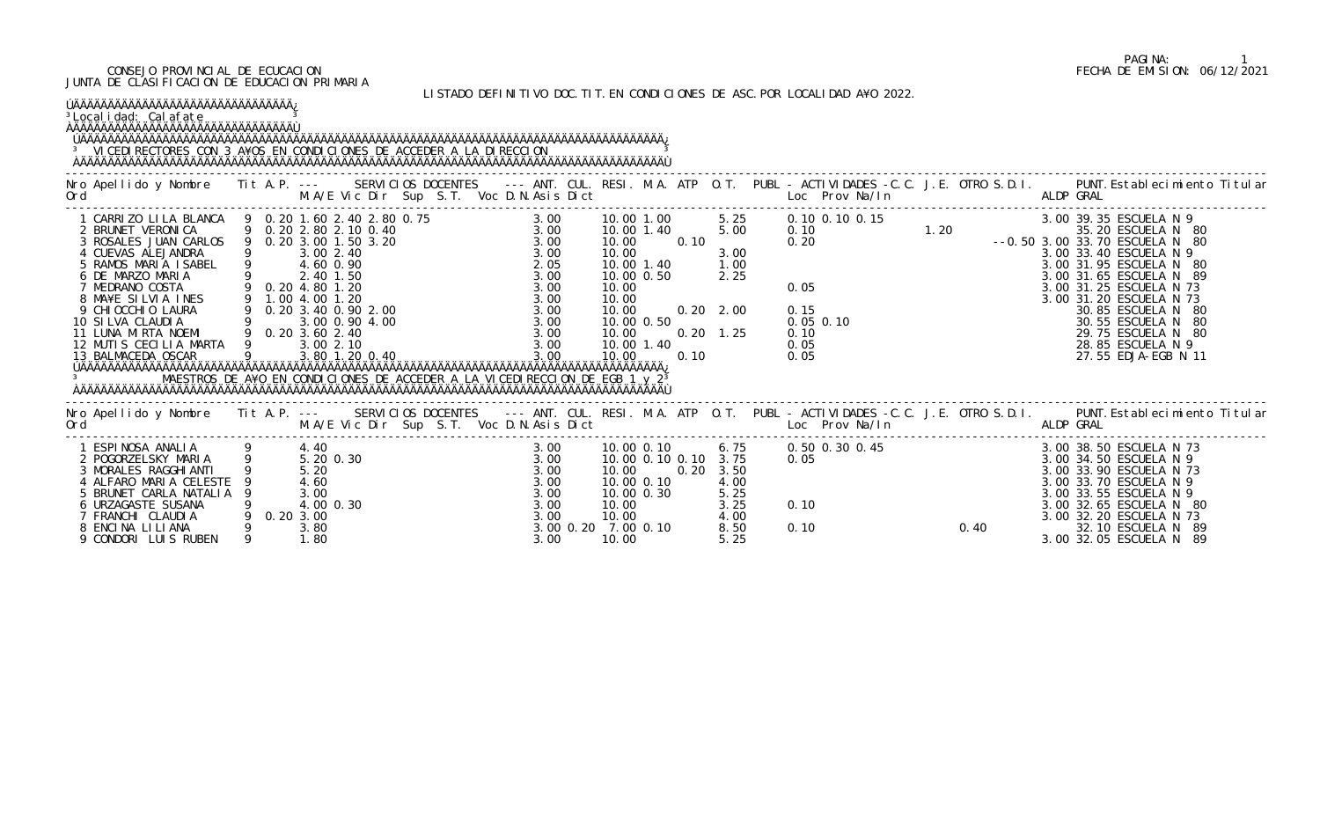#### CONSEJO PROVINCIAL DE ECUCACION FECHA DE EMISION: 06/12/2021 JUNTA DE CLASIFICACION DE EDUCACION PRIMARIA

LISTADO DEFINITIVO DOC.TIT.EN CONDICIONES DE ASC.POR LOCALIDAD A¥O 2022.

| ÚÄÄÄÄÄÄÄÄÄÄÄÄÄÄÄÄÄÄÄÄÄÄÄÄÄÄÄÄÄÄÄÄÄÄÄ<br><sup>3</sup> Local i dad: Cal afate<br><sup>3</sup> VICEDI RECTORES CON 3 A¥OS EN CONDICIONES DE ACCEDER A LA DI RECCION                                                                                                                                                                                                                                              |                                                               |  |  |                                              |                                                                                     |      |                                                      |                                                                   |      |                                                                                                                                                                                                                                                                                                                                                        |
|---------------------------------------------------------------------------------------------------------------------------------------------------------------------------------------------------------------------------------------------------------------------------------------------------------------------------------------------------------------------------------------------------------------|---------------------------------------------------------------|--|--|----------------------------------------------|-------------------------------------------------------------------------------------|------|------------------------------------------------------|-------------------------------------------------------------------|------|--------------------------------------------------------------------------------------------------------------------------------------------------------------------------------------------------------------------------------------------------------------------------------------------------------------------------------------------------------|
|                                                                                                                                                                                                                                                                                                                                                                                                               |                                                               |  |  |                                              |                                                                                     |      |                                                      |                                                                   |      | Nro Apellido y Nombre Tit A.P. -- SERVICIOS DOCENTES --- ANT. CUL. RESI. M.A. ATP O.T. PUBL - ACTIVIDADES -C.C. J.E. OTRO S.D.I. PUNT.Establecimiento Titular<br>Ord M.A/E Vic Dir Sup S.T. Voc D.N.Asis Dict Loc Prov Na/In ALDP                                                                                                                      |
| 4 CUEVAS ALEJANDRA<br>5 RAMOS MARIA ISABEL 9 4.60 0.90<br>6 DE MARZO MARIA 9 2.40 1.50<br>7 MEDRANO COSTA 9 0.20 4.80 1.20<br>8 MA¥E SILVIA INES 9 1.00 4.00 1.20<br>9 CHIOCCHIO LAURA 9 0.20 3.40 0.90 2.00<br>10 SILVA CLAUDIA 9 3.00 0.<br>12 MUTI S CECILIA MARTA 9 3.00 2.10<br>13 BALMACEDA OSCAR 9 3.80 1.20<br>MAESTROS DE A¥O EN CONDICIONES DE ACCEDER A LA VICEDIRECCION DE EGB 1 y 2 <sup>3</sup> |                                                               |  |  |                                              |                                                                                     |      |                                                      |                                                                   |      |                                                                                                                                                                                                                                                                                                                                                        |
| Ord                                                                                                                                                                                                                                                                                                                                                                                                           |                                                               |  |  |                                              |                                                                                     |      |                                                      | M.A/E Vic Dir Sup S.T. Voc D.N.Asis Dict Loc Prov Na/In ALDP GRAL |      | Nro Apellido y Nombre Tit A.P. --- SERVICIOS DOCENTES --- ANT. CUL. RESI. M.A. ATP O.T. PUBL - ACTIVIDADES -C.C. J.E. OTRO S.D.I. PUNT. Establecimiento Titular                                                                                                                                                                                        |
| 1 ESPINOSA ANALIA (9 4.40)<br>2 POGORZELSKY MARIA (9 5.200.30)<br>3 MORALES RAGGHI ANTI<br>4 ALFARO MARIA CELESTE<br>5 BRUNET CARLA NATALIA<br>6 URZAGASTE SUSANA<br>7 FRANCHI CLAUDIA<br>8 ENCINA LILIANA<br>9 CONDORI LUIS RUBEN                                                                                                                                                                            | 5.20<br>4.60<br>3.00<br>4.00 0.30<br>0.203.00<br>3.80<br>1.80 |  |  | 3.00<br>3.00<br>3.00<br>3.00<br>3.00<br>3.00 | 10.00<br>10.00 0.10<br>10.00 0.30<br>10.00<br>10.00<br>3.00 0.20 7.00 0.10<br>10.00 | 0.20 | 3.50<br>4.00<br>5.25<br>3.25<br>4.00<br>8.50<br>5.25 | 0.10<br>0.10                                                      | 0.40 | 3.00    10.00 0.10    6.75    0.50 0.30 0.45             3.00 38.50 ESCUELA N 73<br>3.00    10.00 0.10 0.10 3.75    0.05                  3.00 34.50 ESCUELA N 9<br>3.00 33.90 ESCUELA N 73<br>3.00 33.70 ESCUELA N 9<br>3.00 33.55 ESCUELA N 9<br>3.00 32.65 ESCUELA N 80<br>3.00 32.20 ESCUELA N 73<br>32.10 ESCUELA N 89<br>3.00 32.05 ESCUELA N 89 |

# PAGINA: 1<br>FECHA DE EMISION: 06/12/2021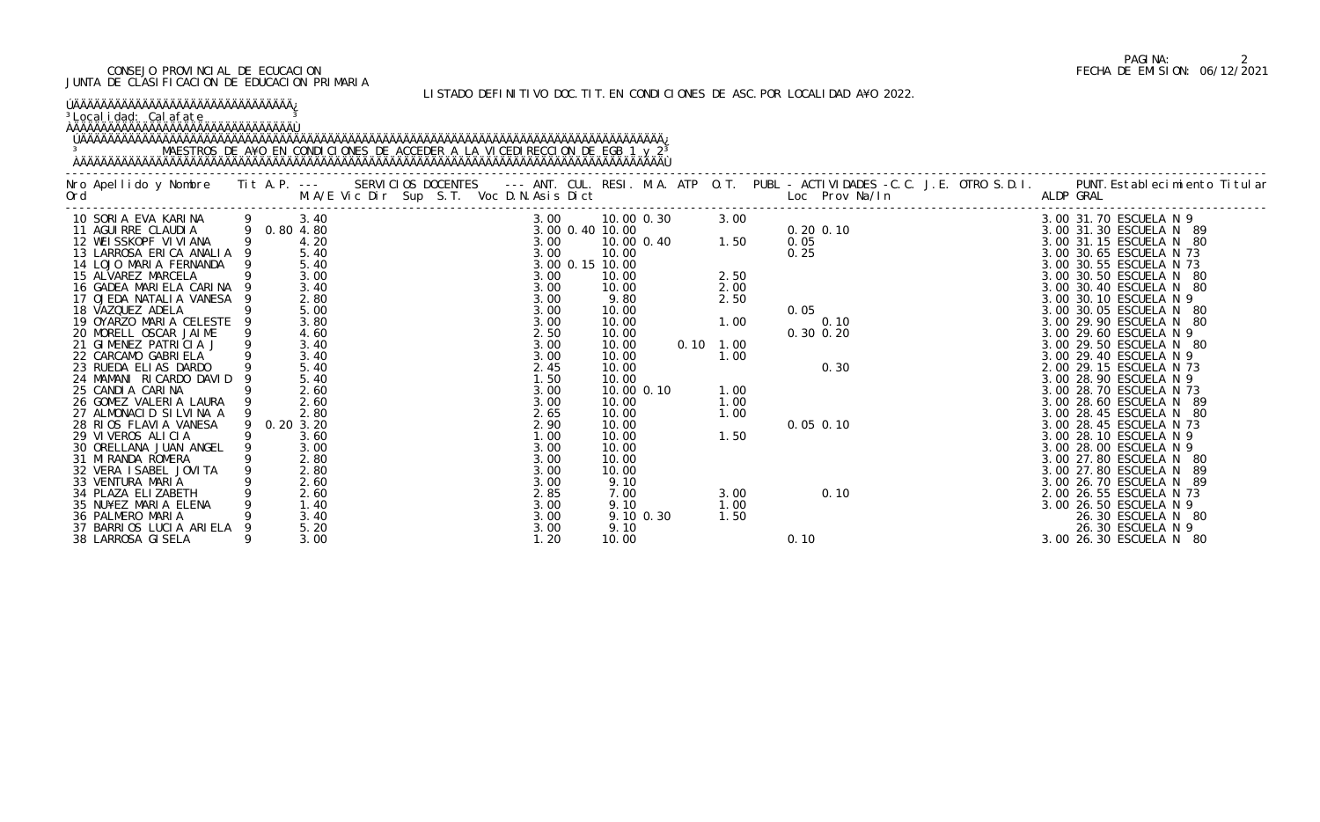#### CONSEJO PROVINCIAL DE ECUCACION FECHA DE EMISION: 06/12/2021 JUNTA DE CLASIFICACION DE EDUCACION PRIMARIA

## LISTADO DEFINITIVO DOC.TIT.EN CONDICIONES DE ASC.POR LOCALIDAD A¥O 2022.

### ÚÄÄÄÄÄÄÄÄÄÄÄÄÄÄÄÄÄÄÄÄÄÄÄÄÄÄÄÄÄÄÄÄ¿

<sup>3</sup>Localidad: Calafate and <sup>3</sup>

## ÀÄÄÄÄÄÄÄÄÄÄÄÄÄÄÄÄÄÄÄÄÄÄÄÄÄÄÄÄÄÄÄÄÙ

#### ÚÄÄÄÄÄÄÄÄÄÄÄÄÄÄÄÄÄÄÄÄÄÄÄÄÄÄÄÄÄÄÄÄÄÄÄÄÄÄÄÄÄÄÄÄÄÄÄÄÄÄÄÄÄÄÄÄÄÄÄÄÄÄÄÄÄÄÄÄÄÄÄÄÄÄÄÄÄÄÄÄÄÄÄÄÄ¿ 3 MAESTROS DE A¥O EN CONDICIONES DE ACCEDER A LA VICEDIRECCION DE EGB 1 y 2<sup>3</sup> ÀÄÄÄÄÄÄÄÄÄÄÄÄÄÄÄÄÄÄÄÄÄÄÄÄÄÄÄÄÄÄÄÄÄÄÄÄÄÄÄÄÄÄÄÄÄÄÄÄÄÄÄÄÄÄÄÄÄÄÄÄÄÄÄÄÄÄÄÄÄÄÄÄÄÄÄÄÄÄÄÄÄÄÄÄÄÙ

|                                                                                             |              |                                                                                                                                                                                                                                                              |      |            |                 |                   |                                                                                  |  | Nro Apellido y Nombre Tit A.P. --- SERVICIOS DOCENTES --- ANT. CUL. RESI. M.A. ATP O.T. PUBL - ACTIVIDADES -C.C. J.E. OTRO S.D.I. PUNT.Establecimiento Titular<br>Ord M.A/E Vic Dir Sup S.T. Voc D.N.Asis Dict Loc Prov Na/In ALD |
|---------------------------------------------------------------------------------------------|--------------|--------------------------------------------------------------------------------------------------------------------------------------------------------------------------------------------------------------------------------------------------------------|------|------------|-----------------|-------------------|----------------------------------------------------------------------------------|--|-----------------------------------------------------------------------------------------------------------------------------------------------------------------------------------------------------------------------------------|
| 10 SORIA EVA KARINA 9 3.40<br>11 AGUIRRE CLAUDIA 9 0.80 4.80<br>12 WEISSKOPF VIVIANA 9 4.20 |              | $3.00$ 10.00 0<br>$3.00$ 10.00 0<br>$3.00$ 10.00 0<br>$3.00$ 10.00 0<br>$3.00$ 10.00 0<br>$3.00$ 10.00 0<br>$3.00$ 15 10.00<br>$3.00$ 10.00<br>$3.00$ 10.00<br>$3.00$ 10.00<br>$3.00$ 10.00<br>$3.00$ 9.80<br>$3.00$ 9.80<br>$3.00$ 10.00<br>$3.00$ 9.80<br> |      |            | 3.00 10.00 0.30 | 3.00              | 0. 20 0. 10<br>0. 05<br>0. 25<br>0. 10<br>0. 30 0. 20<br>0. 30<br>0. 30<br>0. 30 |  | 3.00 31.70 ESCUELA N 9                                                                                                                                                                                                            |
|                                                                                             |              |                                                                                                                                                                                                                                                              |      |            |                 | $0.40$ $1.50$     |                                                                                  |  | 3.00 31.30 ESCUELA N 89                                                                                                                                                                                                           |
|                                                                                             |              |                                                                                                                                                                                                                                                              |      | 10.00 0.40 |                 |                   |                                                                                  |  | 3.00 31.15 ESCUELA N 80                                                                                                                                                                                                           |
| 13 LARROSA ERICA ANALIA                                                                     | 5.40         |                                                                                                                                                                                                                                                              |      |            |                 |                   |                                                                                  |  | 3.00 30.65 ESCUELA N 73                                                                                                                                                                                                           |
| 14 LOJO MARIA FERNANDA                                                                      | 5.40<br>3.00 |                                                                                                                                                                                                                                                              |      |            |                 |                   |                                                                                  |  | 3.00 30.55 ESCUELA N 73                                                                                                                                                                                                           |
| 15 ALVAREZ MARCELA                                                                          | 3.40         |                                                                                                                                                                                                                                                              |      |            |                 | 2.50              |                                                                                  |  | 3.00 30.50 ESCUELA N<br>- 80<br>- 80                                                                                                                                                                                              |
| 16 GADEA MARIELA CARINA<br>17 OJEDA NATALIA VANESA 9                                        | 2.80         |                                                                                                                                                                                                                                                              |      |            |                 | 2.00<br>2.50      |                                                                                  |  | 3.00 30.40 ESCUELA N<br>3.00 30.10 ESCUELA N 9                                                                                                                                                                                    |
| 18 VAZQUEZ ADELA                                                                            | 5.00         |                                                                                                                                                                                                                                                              |      |            |                 |                   |                                                                                  |  | 3.00 30.05 ESCUELA N<br>- 80                                                                                                                                                                                                      |
| 19 OYARZO MARIA CELESTE                                                                     | 3.80         |                                                                                                                                                                                                                                                              |      |            |                 | 1.00              |                                                                                  |  | 3.00 29.90 ESCUELA N<br>- 80                                                                                                                                                                                                      |
| 20 MORELL OSCAR JAIME                                                                       | 4.60         |                                                                                                                                                                                                                                                              |      |            |                 |                   |                                                                                  |  | 3.00 29.60 ESCUELA N 9                                                                                                                                                                                                            |
| 21 GIMENEZ PATRICIA J                                                                       | 3.40         |                                                                                                                                                                                                                                                              | 3.00 | 10.00      |                 | $0.10 \quad 1.00$ |                                                                                  |  | 3.00 29.50 ESCUELA N 80                                                                                                                                                                                                           |
| 22 CARCAMO GABRIELA                                                                         | 3.40         |                                                                                                                                                                                                                                                              | 3.00 | 10.00      |                 | 1.00              |                                                                                  |  | 3.00 29.40 ESCUELA N 9                                                                                                                                                                                                            |
| 23 RUEDA ELIAS DARDO                                                                        | 5.40         |                                                                                                                                                                                                                                                              | 2.45 | 10.00      |                 |                   |                                                                                  |  | 2.00 29.15 ESCUELA N 73                                                                                                                                                                                                           |
| 24 MAMANI RICARDO DAVID                                                                     | 5.40         |                                                                                                                                                                                                                                                              | 1.50 | 10.00      |                 |                   |                                                                                  |  | 3.00 28.90 ESCUELA N 9                                                                                                                                                                                                            |
| 25 CANDIA CARINA                                                                            | 2.60         |                                                                                                                                                                                                                                                              | 3.00 | 10.00 0.10 |                 | 1.00              |                                                                                  |  | 3.00 28.70 ESCUELA N 73                                                                                                                                                                                                           |
| 26 GOMEZ VALERIA LAURA                                                                      | 2.60         |                                                                                                                                                                                                                                                              | 3.00 | 10.00      |                 | 1.00              |                                                                                  |  | 3.00 28.60 ESCUELA N<br>- 89                                                                                                                                                                                                      |
| 27 ALMONACID SILVINA A                                                                      | 2.80         |                                                                                                                                                                                                                                                              | 2.65 | 10.00      |                 | 1.00              |                                                                                  |  | 3.00 28.45 ESCUELA N<br>- 80                                                                                                                                                                                                      |
| 28 RIOS FLAVIA VANESA                                                                       | 9 0.20 3.20  |                                                                                                                                                                                                                                                              | 2.90 | 10.00      |                 |                   | $0.05$ 0.10                                                                      |  | 3.00 28.45 ESCUELA N 73                                                                                                                                                                                                           |
| 29 VIVEROS ALICIA                                                                           | 3.60         |                                                                                                                                                                                                                                                              | 1.00 | 10.00      |                 | 1.50              |                                                                                  |  | 3.00 28.10 ESCUELA N 9                                                                                                                                                                                                            |
| 30 ORELLANA JUAN ANGEL                                                                      | 3.00         |                                                                                                                                                                                                                                                              | 3.00 | 10.00      |                 |                   |                                                                                  |  | 3.00 28.00 ESCUELA N 9                                                                                                                                                                                                            |
| 31 MI RANDA ROMERA                                                                          | 2.80         |                                                                                                                                                                                                                                                              | 3.00 | 10.00      |                 |                   |                                                                                  |  | 3.00 27.80 ESCUELA N<br>- 80                                                                                                                                                                                                      |
| 32 VERA I SABEL JOVI TA                                                                     | 2.80         |                                                                                                                                                                                                                                                              | 3.00 | 10.00      |                 |                   |                                                                                  |  | 3.00 27.80 ESCUELA N<br>-89                                                                                                                                                                                                       |
| 33 VENTURA MARIA                                                                            | 2.60         |                                                                                                                                                                                                                                                              | 3.00 | 9.10       |                 |                   |                                                                                  |  | 3.00 26.70 ESCUELA N<br>- 89                                                                                                                                                                                                      |
| 34 PLAZA ELIZABETH                                                                          | 2.60         |                                                                                                                                                                                                                                                              | 2.85 | 7.00       |                 | 3.00              |                                                                                  |  |                                                                                                                                                                                                                                   |
| 35 NU¥EZ MARIA ELENA                                                                        | 1.40         |                                                                                                                                                                                                                                                              | 3.00 | 9.10       |                 | 1.00              |                                                                                  |  |                                                                                                                                                                                                                                   |
| 36 PALMERO MARIA                                                                            | 3.40         |                                                                                                                                                                                                                                                              | 3.00 |            | 9.10 0.30       | 1.50              |                                                                                  |  | 0.10<br>0.10<br>0.10<br>0.10<br>0.10<br>0.10<br>0.10<br>0.10<br>0.10<br>0.10<br>0.10<br>3.0026.50ESCUELA N 9<br>3.0026.50ESCUELA N 9<br>26.30ESCUELA N 9<br>3.0026.50ESCUELA N 9                                                  |
| 37 BARRIOS LUCIA ARIELA                                                                     | 5.20         |                                                                                                                                                                                                                                                              | 3.00 | 9.10       |                 |                   |                                                                                  |  |                                                                                                                                                                                                                                   |
| 38 LARROSA GI SELA                                                                          | 3.00         |                                                                                                                                                                                                                                                              | 1.20 | 10.00      |                 |                   |                                                                                  |  |                                                                                                                                                                                                                                   |

## PAGINA: 2<br>FECHA DE EMISION: 06/12/2021